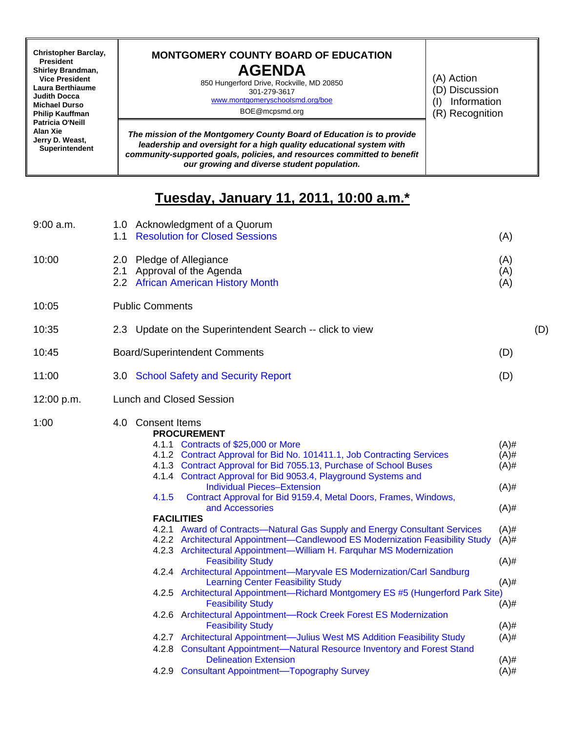| <b>Christopher Barclay,</b><br>President<br><b>Shirley Brandman,</b><br><b>Vice President</b><br>Laura Berthiaume<br><b>Judith Docca</b><br><b>Michael Durso</b><br><b>Philip Kauffman</b><br>Patricia O'Neill<br>Alan Xie<br>Jerry D. Weast,<br>Superintendent | <b>MONTGOMERY COUNTY BOARD OF EDUCATION</b><br><b>AGENDA</b><br>850 Hungerford Drive, Rockville, MD 20850<br>301-279-3617<br>www.montgomeryschoolsmd.org/boe<br>BOE@mcpsmd.org                                                                                         | (A) Action<br>(D) Discussion<br>Information<br>(I)<br>(R) Recognition |
|-----------------------------------------------------------------------------------------------------------------------------------------------------------------------------------------------------------------------------------------------------------------|------------------------------------------------------------------------------------------------------------------------------------------------------------------------------------------------------------------------------------------------------------------------|-----------------------------------------------------------------------|
|                                                                                                                                                                                                                                                                 | The mission of the Montgomery County Board of Education is to provide<br>leadership and oversight for a high quality educational system with<br>community-supported goals, policies, and resources committed to benefit<br>our growing and diverse student population. |                                                                       |

## **Tuesday, January 11, 2011, 10:00 a.m.\***

| 9:00 a.m.  | 1.0 Acknowledgment of a Quorum<br>1.1 Resolution for Closed Sessions<br>(A)                                                                                                                                                                                                                                                                                                                                                                                                                                                                                                                                                                                                                                                                                                                                                                                                                                                                                                                                                                                                                                                                                                                                                                                                                                     |                                                                                                                                                        |  |  |
|------------|-----------------------------------------------------------------------------------------------------------------------------------------------------------------------------------------------------------------------------------------------------------------------------------------------------------------------------------------------------------------------------------------------------------------------------------------------------------------------------------------------------------------------------------------------------------------------------------------------------------------------------------------------------------------------------------------------------------------------------------------------------------------------------------------------------------------------------------------------------------------------------------------------------------------------------------------------------------------------------------------------------------------------------------------------------------------------------------------------------------------------------------------------------------------------------------------------------------------------------------------------------------------------------------------------------------------|--------------------------------------------------------------------------------------------------------------------------------------------------------|--|--|
| 10:00      | 2.0 Pledge of Allegiance<br>Approval of the Agenda<br>2.1<br>2.2 African American History Month                                                                                                                                                                                                                                                                                                                                                                                                                                                                                                                                                                                                                                                                                                                                                                                                                                                                                                                                                                                                                                                                                                                                                                                                                 | (A)<br>(A)<br>(A)                                                                                                                                      |  |  |
| 10:05      | <b>Public Comments</b>                                                                                                                                                                                                                                                                                                                                                                                                                                                                                                                                                                                                                                                                                                                                                                                                                                                                                                                                                                                                                                                                                                                                                                                                                                                                                          |                                                                                                                                                        |  |  |
| 10:35      | 2.3 Update on the Superintendent Search -- click to view                                                                                                                                                                                                                                                                                                                                                                                                                                                                                                                                                                                                                                                                                                                                                                                                                                                                                                                                                                                                                                                                                                                                                                                                                                                        | (D)                                                                                                                                                    |  |  |
| 10:45      | <b>Board/Superintendent Comments</b>                                                                                                                                                                                                                                                                                                                                                                                                                                                                                                                                                                                                                                                                                                                                                                                                                                                                                                                                                                                                                                                                                                                                                                                                                                                                            |                                                                                                                                                        |  |  |
| 11:00      | 3.0 School Safety and Security Report                                                                                                                                                                                                                                                                                                                                                                                                                                                                                                                                                                                                                                                                                                                                                                                                                                                                                                                                                                                                                                                                                                                                                                                                                                                                           | (D)                                                                                                                                                    |  |  |
| 12:00 p.m. | <b>Lunch and Closed Session</b>                                                                                                                                                                                                                                                                                                                                                                                                                                                                                                                                                                                                                                                                                                                                                                                                                                                                                                                                                                                                                                                                                                                                                                                                                                                                                 |                                                                                                                                                        |  |  |
| 1:00       | 4.0 Consent Items<br><b>PROCUREMENT</b><br>4.1.1 Contracts of \$25,000 or More<br>4.1.2 Contract Approval for Bid No. 101411.1, Job Contracting Services<br>4.1.3 Contract Approval for Bid 7055.13, Purchase of School Buses<br>4.1.4 Contract Approval for Bid 9053.4, Playground Systems and<br><b>Individual Pieces-Extension</b><br>Contract Approval for Bid 9159.4, Metal Doors, Frames, Windows,<br>4.1.5<br>and Accessories<br><b>FACILITIES</b><br>4.2.1 Award of Contracts-Natural Gas Supply and Energy Consultant Services<br>4.2.2 Architectural Appointment-Candlewood ES Modernization Feasibility Study<br>4.2.3 Architectural Appointment-William H. Farquhar MS Modernization<br><b>Feasibility Study</b><br>4.2.4 Architectural Appointment-Maryvale ES Modernization/Carl Sandburg<br><b>Learning Center Feasibility Study</b><br>4.2.5 Architectural Appointment-Richard Montgomery ES #5 (Hungerford Park Site)<br><b>Feasibility Study</b><br>4.2.6 Architectural Appointment-Rock Creek Forest ES Modernization<br><b>Feasibility Study</b><br>4.2.7 Architectural Appointment-Julius West MS Addition Feasibility Study<br>4.2.8 Consultant Appointment-Natural Resource Inventory and Forest Stand<br><b>Delineation Extension</b><br>4.2.9 Consultant Appointment-Topography Survey | $(A)$ #<br>$(A)$ #<br>$(A)$ #<br>$(A)$ #<br>$(A)$ #<br>$(A)$ #<br>$(A)$ #<br>$(A)$ #<br>$(A)$ #<br>$(A)$ #<br>$(A)$ #<br>$(A)$ #<br>$(A)$ #<br>$(A)$ # |  |  |